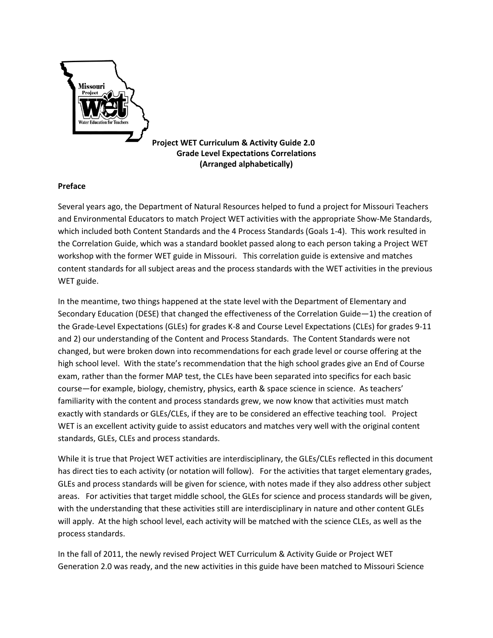

**Project WET Curriculum & Activity Guide 2.0 Grade Level Expectations Correlations (Arranged alphabetically)**

# **Preface**

Several years ago, the Department of Natural Resources helped to fund a project for Missouri Teachers and Environmental Educators to match Project WET activities with the appropriate Show-Me Standards, which included both Content Standards and the 4 Process Standards (Goals 1-4). This work resulted in the Correlation Guide, which was a standard booklet passed along to each person taking a Project WET workshop with the former WET guide in Missouri. This correlation guide is extensive and matches content standards for all subject areas and the process standards with the WET activities in the previous WET guide.

In the meantime, two things happened at the state level with the Department of Elementary and Secondary Education (DESE) that changed the effectiveness of the Correlation Guide—1) the creation of the Grade-Level Expectations (GLEs) for grades K-8 and Course Level Expectations (CLEs) for grades 9-11 and 2) our understanding of the Content and Process Standards. The Content Standards were not changed, but were broken down into recommendations for each grade level or course offering at the high school level. With the state's recommendation that the high school grades give an End of Course exam, rather than the former MAP test, the CLEs have been separated into specifics for each basic course—for example, biology, chemistry, physics, earth & space science in science. As teachers' familiarity with the content and process standards grew, we now know that activities must match exactly with standards or GLEs/CLEs, if they are to be considered an effective teaching tool. Project WET is an excellent activity guide to assist educators and matches very well with the original content standards, GLEs, CLEs and process standards.

While it is true that Project WET activities are interdisciplinary, the GLEs/CLEs reflected in this document has direct ties to each activity (or notation will follow). For the activities that target elementary grades, GLEs and process standards will be given for science, with notes made if they also address other subject areas. For activities that target middle school, the GLEs for science and process standards will be given, with the understanding that these activities still are interdisciplinary in nature and other content GLEs will apply. At the high school level, each activity will be matched with the science CLEs, as well as the process standards.

In the fall of 2011, the newly revised Project WET Curriculum & Activity Guide or Project WET Generation 2.0 was ready, and the new activities in this guide have been matched to Missouri Science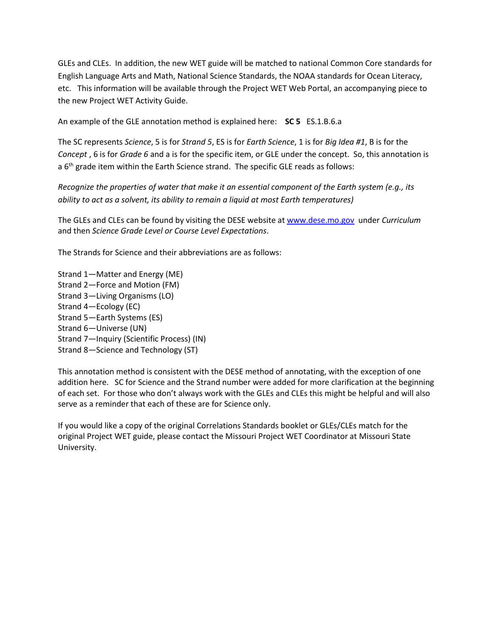GLEs and CLEs. In addition, the new WET guide will be matched to national Common Core standards for English Language Arts and Math, National Science Standards, the NOAA standards for Ocean Literacy, etc. This information will be available through the Project WET Web Portal, an accompanying piece to the new Project WET Activity Guide.

An example of the GLE annotation method is explained here: **SC 5** ES.1.B.6.a

The SC represents *Science*, 5 is for *Strand 5*, ES is for *Earth Science*, 1 is for *Big Idea #1*, B is for the *Concept* , 6 is for *Grade 6* and a is for the specific item, or GLE under the concept. So, this annotation is a 6<sup>th</sup> grade item within the Earth Science strand. The specific GLE reads as follows:

*Recognize the properties of water that make it an essential component of the Earth system (e.g., its ability to act as a solvent, its ability to remain a liquid at most Earth temperatures)*

The GLEs and CLEs can be found by visiting the DESE website a[t www.dese.mo.gov](http://www.dese.mo.gov/) under *Curriculum* and then *Science Grade Level or Course Level Expectations*.

The Strands for Science and their abbreviations are as follows:

Strand 1—Matter and Energy (ME) Strand 2—Force and Motion (FM) Strand 3—Living Organisms (LO) Strand 4—Ecology (EC) Strand 5—Earth Systems (ES) Strand 6—Universe (UN) Strand 7—Inquiry (Scientific Process) (IN) Strand 8—Science and Technology (ST)

This annotation method is consistent with the DESE method of annotating, with the exception of one addition here. SC for Science and the Strand number were added for more clarification at the beginning of each set. For those who don't always work with the GLEs and CLEs this might be helpful and will also serve as a reminder that each of these are for Science only.

If you would like a copy of the original Correlations Standards booklet or GLEs/CLEs match for the original Project WET guide, please contact the Missouri Project WET Coordinator at Missouri State University.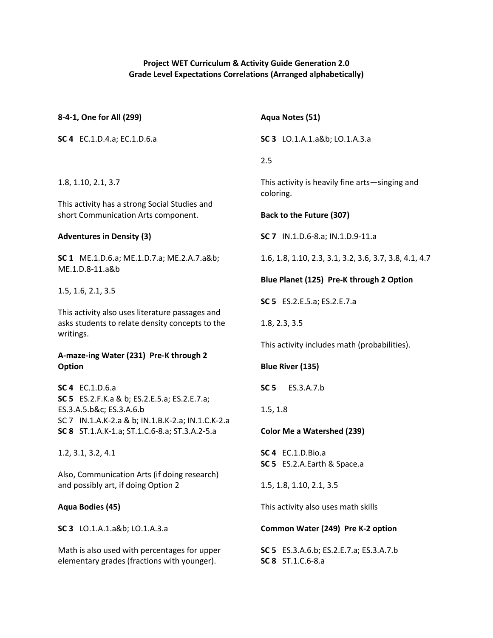# **Project WET Curriculum & Activity Guide Generation 2.0 Grade Level Expectations Correlations (Arranged alphabetically)**

| 8-4-1, One for All (299)                                                                           | Aqua Notes (51)                                                     |
|----------------------------------------------------------------------------------------------------|---------------------------------------------------------------------|
| SC 4 EC.1.D.4.a; EC.1.D.6.a                                                                        | SC 3 LO.1.A.1.a&b LO.1.A.3.a                                        |
|                                                                                                    | 2.5                                                                 |
| 1.8, 1.10, 2.1, 3.7                                                                                | This activity is heavily fine arts-singing and<br>coloring.         |
| This activity has a strong Social Studies and<br>short Communication Arts component.               | Back to the Future (307)                                            |
| <b>Adventures in Density (3)</b>                                                                   | SC 7 IN.1.D.6-8.a; IN.1.D.9-11.a                                    |
| SC 1 ME.1.D.6.a; ME.1.D.7.a; ME.2.A.7.a&b                                                          | 1.6, 1.8, 1.10, 2.3, 3.1, 3.2, 3.6, 3.7, 3.8, 4.1, 4.7              |
| ME.1.D.8-11.a&b                                                                                    | Blue Planet (125) Pre-K through 2 Option                            |
| 1.5, 1.6, 2.1, 3.5                                                                                 | <b>SC 5</b> ES.2.E.5.a; ES.2.E.7.a                                  |
| This activity also uses literature passages and<br>asks students to relate density concepts to the | 1.8, 2.3, 3.5                                                       |
| writings.                                                                                          | This activity includes math (probabilities).                        |
| A-maze-ing Water (231) Pre-K through 2<br>Option                                                   | <b>Blue River (135)</b>                                             |
| <b>SC 4</b> EC.1.D.6.a                                                                             | SC <sub>5</sub><br>ES.3.A.7.b                                       |
| <b>SC 5</b> ES.2.F.K.a & b; ES.2.E.5.a; ES.2.E.7.a;<br>ES.3.A.5.b&c ES.3.A.6.b                     | 1.5, 1.8                                                            |
| SC 7 IN.1.A.K-2.a & b; IN.1.B.K-2.a; IN.1.C.K-2.a<br>SC 8 ST.1.A.K-1.a; ST.1.C.6-8.a; ST.3.A.2-5.a | <b>Color Me a Watershed (239)</b>                                   |
| 1.2, 3.1, 3.2, 4.1                                                                                 | <b>SC 4</b> EC.1.D.Bio.a<br>SC 5 ES.2.A.Earth & Space.a             |
| Also, Communication Arts (if doing research)<br>and possibly art, if doing Option 2                | 1.5, 1.8, 1.10, 2.1, 3.5                                            |
| Aqua Bodies (45)                                                                                   | This activity also uses math skills                                 |
| SC 3 LO.1.A.1.a&b LO.1.A.3.a                                                                       | Common Water (249) Pre K-2 option                                   |
| Math is also used with percentages for upper<br>elementary grades (fractions with younger).        | <b>SC 5</b> ES.3.A.6.b; ES.2.E.7.a; ES.3.A.7.b<br>SC 8 ST.1.C.6-8.a |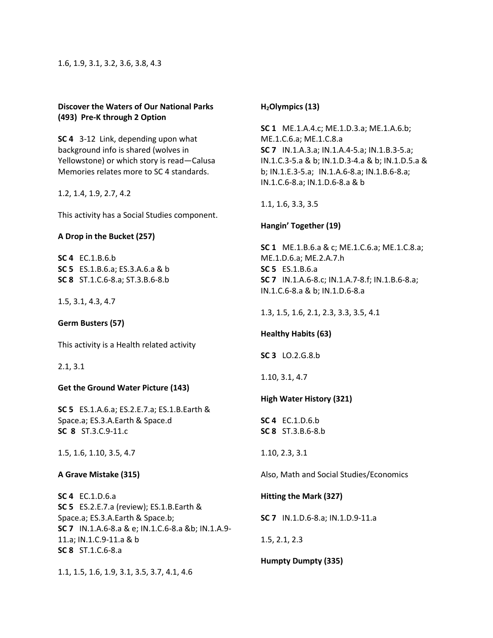### **Discover the Waters of Our National Parks (493) Pre-K through 2 Option**

**SC 4** 3-12 Link, depending upon what background info is shared (wolves in Yellowstone) or which story is read—Calusa Memories relates more to SC 4 standards.

1.2, 1.4, 1.9, 2.7, 4.2

This activity has a Social Studies component.

# **A Drop in the Bucket (257)**

**SC 4** EC.1.B.6.b **SC 5** ES.1.B.6.a; ES.3.A.6.a & b **SC 8** ST.1.C.6-8.a; ST.3.B.6-8.b

1.5, 3.1, 4.3, 4.7

# **Germ Busters (57)**

This activity is a Health related activity

2.1, 3.1

# **Get the Ground Water Picture (143)**

**SC 5** ES.1.A.6.a; ES.2.E.7.a; ES.1.B.Earth & Space.a; ES.3.A.Earth & Space.d **SC 8** ST.3.C.9-11.c

1.5, 1.6, 1.10, 3.5, 4.7

#### **A Grave Mistake (315)**

**SC 4** EC.1.D.6.a **SC 5** ES.2.E.7.a (review); ES.1.B.Earth & Space.a; ES.3.A.Earth & Space.b; **SC 7** IN.1.A.6-8.a & e; IN.1.C.6-8.a &b; IN.1.A.9- 11.a; IN.1.C.9-11.a & b **SC 8** ST.1.C.6-8.a

1.1, 1.5, 1.6, 1.9, 3.1, 3.5, 3.7, 4.1, 4.6

### **H2Olympics (13)**

**SC 1** ME.1.A.4.c; ME.1.D.3.a; ME.1.A.6.b; ME.1.C.6.a; ME.1.C.8.a **SC 7** IN.1.A.3.a; IN.1.A.4-5.a; IN.1.B.3-5.a; IN.1.C.3-5.a & b; IN.1.D.3-4.a & b; IN.1.D.5.a & b; IN.1.E.3-5.a; IN.1.A.6-8.a; IN.1.B.6-8.a; IN.1.C.6-8.a; IN.1.D.6-8.a & b

1.1, 1.6, 3.3, 3.5

# **Hangin' Together (19)**

**SC 1** ME.1.B.6.a & c; ME.1.C.6.a; ME.1.C.8.a; ME.1.D.6.a; ME.2.A.7.h **SC 5** ES.1.B.6.a **SC 7** IN.1.A.6-8.c; IN.1.A.7-8.f; IN.1.B.6-8.a; IN.1.C.6-8.a & b; IN.1.D.6-8.a

1.3, 1.5, 1.6, 2.1, 2.3, 3.3, 3.5, 4.1

# **Healthy Habits (63)**

**SC 3** LO.2.G.8.b

1.10, 3.1, 4.7

# **High Water History (321)**

**SC 4** EC.1.D.6.b **SC 8** ST.3.B.6-8.b

1.10, 2.3, 3.1

Also, Math and Social Studies/Economics

# **Hitting the Mark (327)**

**SC 7** IN.1.D.6-8.a; IN.1.D.9-11.a

1.5, 2.1, 2.3

# **Humpty Dumpty (335)**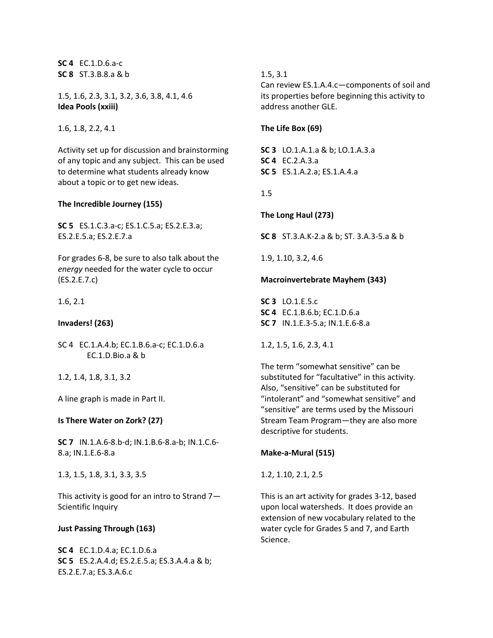**SC 4** EC.1.D.6.a-c **SC 8** ST.3.B.8.a & b

1.5, 1.6, 2.3, 3.1, 3.2, 3.6, 3.8, 4.1, 4.6 **Idea Pools (xxiii)**

1.6, 1.8, 2.2, 4.1

Activity set up for discussion and brainstorming of any topic and any subject. This can be used to determine what students already know about a topic or to get new ideas.

### **The Incredible Journey (155)**

**SC 5** ES.1.C.3.a-c; ES.1.C.5.a; ES.2.E.3.a; ES.2.E.5.a; ES.2.E.7.a

For grades 6-8, be sure to also talk about the *energy* needed for the water cycle to occur (ES.2.E.7.c)

1.6, 2.1

**Invaders! (263)**

SC 4 EC.1.A.4.b; EC.1.B.6.a-c; EC.1.D.6.a EC.1.D.Bio.a & b

1.2, 1.4, 1.8, 3.1, 3.2

A line graph is made in Part II.

#### **Is There Water on Zork? (27)**

**SC 7** IN.1.A.6-8.b-d; IN.1.B.6-8.a-b; IN.1.C.6- 8.a; IN.1.E.6-8.a

1.3, 1.5, 1.8, 3.1, 3.3, 3.5

This activity is good for an intro to Strand 7— Scientific Inquiry

#### **Just Passing Through (163)**

**SC 4** EC.1.D.4.a; EC.1.D.6.a **SC 5** ES.2.A.4.d; ES.2.E.5.a; ES.3.A.4.a & b; ES.2.E.7.a; ES.3.A.6.c

# 1.5, 3.1

Can review ES.1.A.4.c—components of soil and its properties before beginning this activity to address another GLE.

### **The Life Box (69)**

**SC 3** LO.1.A.1.a & b; LO.1.A.3.a **SC 4** EC.2.A.3.a **SC 5** ES.1.A.2.a; ES.1.A.4.a

1.5

**The Long Haul (273)** 

**SC 8** ST.3.A.K-2.a & b; ST. 3.A.3-5.a & b

1.9, 1.10, 3.2, 4.6

# **Macroinvertebrate Mayhem (343)**

**SC 3** LO.1.E.5.c **SC 4** EC.1.B.6.b; EC.1.D.6.a **SC 7** IN.1.E.3-5.a; IN.1.E.6-8.a

1.2, 1.5, 1.6, 2.3, 4.1

The term "somewhat sensitive" can be substituted for "facultative" in this activity. Also, "sensitive" can be substituted for "intolerant" and "somewhat sensitive" and "sensitive" are terms used by the Missouri Stream Team Program—they are also more descriptive for students.

# **Make-a-Mural (515)**

1.2, 1.10, 2.1, 2.5

This is an art activity for grades 3-12, based upon local watersheds. It does provide an extension of new vocabulary related to the water cycle for Grades 5 and 7, and Earth Science.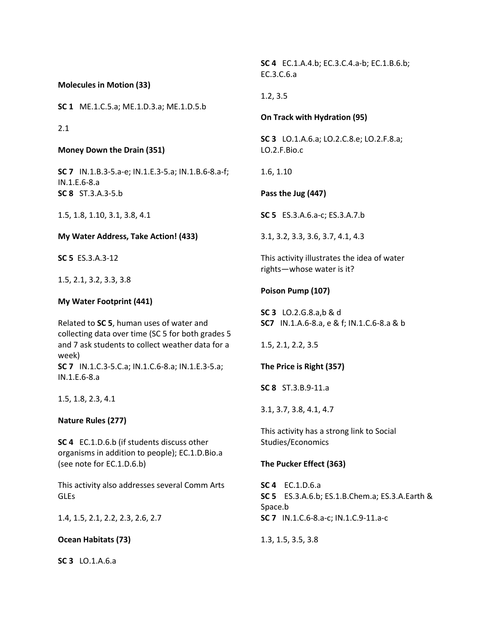**Molecules in Motion (33)**

**SC 1** ME.1.C.5.a; ME.1.D.3.a; ME.1.D.5.b

### 2.1

**Money Down the Drain (351)**

**SC 7** IN.1.B.3-5.a-e; IN.1.E.3-5.a; IN.1.B.6-8.a-f; IN.1.E.6-8.a **SC 8** ST.3.A.3-5.b

1.5, 1.8, 1.10, 3.1, 3.8, 4.1

**My Water Address, Take Action! (433)**

**SC 5** ES.3.A.3-12

1.5, 2.1, 3.2, 3.3, 3.8

#### **My Water Footprint (441)**

Related to **SC 5**, human uses of water and collecting data over time (SC 5 for both grades 5 and 7 ask students to collect weather data for a week) **SC 7** IN.1.C.3-5.C.a; IN.1.C.6-8.a; IN.1.E.3-5.a; IN.1.E.6-8.a

1.5, 1.8, 2.3, 4.1

#### **Nature Rules (277)**

**SC 4** EC.1.D.6.b (if students discuss other organisms in addition to people); EC.1.D.Bio.a (see note for EC.1.D.6.b)

This activity also addresses several Comm Arts GLEs

1.4, 1.5, 2.1, 2.2, 2.3, 2.6, 2.7

### **Ocean Habitats (73)**

**SC 3** LO.1.A.6.a

**SC 4** EC.1.A.4.b; EC.3.C.4.a-b; EC.1.B.6.b; EC.3.C.6.a

### 1.2, 3.5

#### **On Track with Hydration (95)**

**SC 3** LO.1.A.6.a; LO.2.C.8.e; LO.2.F.8.a; LO.2.F.Bio.c

1.6, 1.10

**Pass the Jug (447)** 

**SC 5** ES.3.A.6.a-c; ES.3.A.7.b

3.1, 3.2, 3.3, 3.6, 3.7, 4.1, 4.3

This activity illustrates the idea of water rights—whose water is it?

#### **Poison Pump (107)**

**SC 3** LO.2.G.8.a,b & d **SC7** IN.1.A.6-8.a, e & f; IN.1.C.6-8.a & b

1.5, 2.1, 2.2, 3.5

**The Price is Right (357)**

**SC 8** ST.3.B.9-11.a

3.1, 3.7, 3.8, 4.1, 4.7

This activity has a strong link to Social Studies/Economics

#### **The Pucker Effect (363)**

**SC 4** EC.1.D.6.a **SC 5** ES.3.A.6.b; ES.1.B.Chem.a; ES.3.A.Earth & Space.b **SC 7** IN.1.C.6-8.a-c; IN.1.C.9-11.a-c

1.3, 1.5, 3.5, 3.8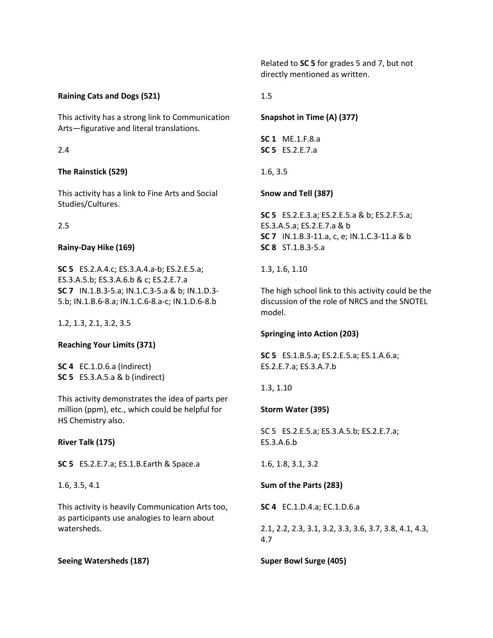Related to **SC 5** for grades 5 and 7, but not directly mentioned as written.

# **Raining Cats and Dogs (521)**

This activity has a strong link to Communication Arts—figurative and literal translations.

### 2.4

# **The Rainstick (529)**

This activity has a link to Fine Arts and Social Studies/Cultures.

# 2.5

### **Rainy-Day Hike (169)**

**SC 5** ES.2.A.4.c; ES.3.A.4.a-b; ES.2.E.5.a; ES.3.A.5.b; ES.3.A.6.b & c; ES.2.E.7.a **SC 7** IN.1.B.3-5.a; IN.1.C.3-5.a & b; IN.1.D.3- 5.b; IN.1.B.6-8.a; IN.1.C.6-8.a-c; IN.1.D.6-8.b

1.2, 1.3, 2.1, 3.2, 3.5

# **Reaching Your Limits (371)**

**SC 4** EC.1.D.6.a (Indirect) **SC 5** ES.3.A.5.a & b (indirect)

This activity demonstrates the idea of parts per million (ppm), etc., which could be helpful for HS Chemistry also.

**River Talk (175)**

**SC 5** ES.2.E.7.a; ES.1.B.Earth & Space.a

1.6, 3.5, 4.1

This activity is heavily Communication Arts too, as participants use analogies to learn about watersheds.

# **Seeing Watersheds (187)**

1.5

# **Snapshot in Time (A) (377)**

**SC 1** ME.1.F.8.a **SC 5** ES.2.E.7.a

# 1.6, 3.5

# **Snow and Tell (387)**

**SC 5** ES.2.E.3.a; ES.2.E.5.a & b; ES.2.F.5.a; ES.3.A.5.a; ES.2.E.7.a & b **SC 7** IN.1.B.3-11.a, c, e; IN.1.C.3-11.a & b **SC 8** ST.1.B.3-5.a

1.3, 1.6, 1.10

The high school link to this activity could be the discussion of the role of NRCS and the SNOTEL model.

#### **Springing into Action (203)**

**SC 5** ES.1.B.5.a; ES.2.E.5.a; ES.1.A.6.a; ES.2.E.7.a; ES.3.A.7.b

1.3, 1.10

# **Storm Water (395)**

SC 5 ES.2.E.5.a; ES.3.A.5.b; ES.2.E.7.a; ES.3.A.6.b

1.6, 1.8, 3.1, 3.2

**Sum of the Parts (283)**

**SC 4** EC.1.D.4.a; EC.1.D.6.a

2.1, 2.2, 2.3, 3.1, 3.2, 3.3, 3.6, 3.7, 3.8, 4.1, 4.3, 4.7

**Super Bowl Surge (405)**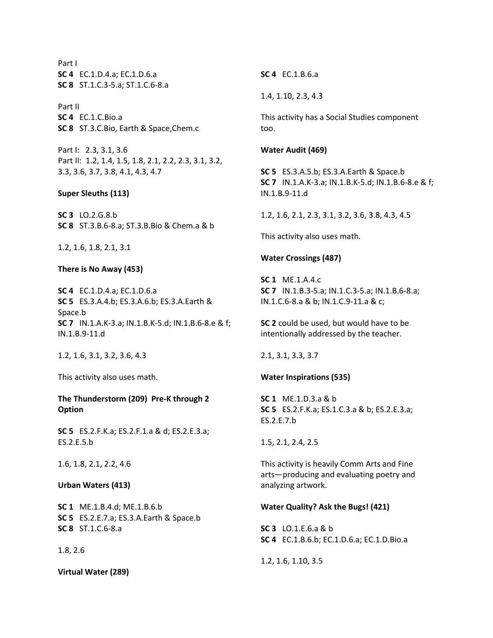Part I **SC 4** EC.1.D.4.a; EC.1.D.6.a **SC 8** ST.1.C.3-5.a; ST.1.C.6-8.a

Part II **SC 4** EC.1.C.Bio.a **SC 8** ST.3.C.Bio, Earth & Space,Chem.c

Part I: 2.3, 3.1, 3.6 Part II: 1.2, 1.4, 1.5, 1.8, 2.1, 2.2, 2.3, 3.1, 3.2, 3.3, 3.6, 3.7, 3.8, 4.1, 4.3, 4.7

#### **Super Sleuths (113)**

**SC 3** LO.2.G.8.b **SC 8** ST.3.B.6-8.a; ST.3.B.Bio & Chem.a & b

1.2, 1.6, 1.8, 2.1, 3.1

#### **There is No Away (453)**

**SC 4** EC.1.D.4.a; EC.1.D.6.a **SC 5** ES.3.A.4.b; ES.3.A.6.b; ES.3.A.Earth & Space.b **SC 7** IN.1.A.K-3.a; IN.1.B.K-5.d; IN.1.B.6-8.e & f; IN.1.B.9-11.d

1.2, 1.6, 3.1, 3.2, 3.6, 4.3

This activity also uses math.

# **The Thunderstorm (209) Pre-K through 2 Option**

**SC 5** ES.2.F.K.a; ES.2.F.1.a & d; ES.2.E.3.a; ES.2.E.5.b

1.6, 1.8, 2.1, 2.2, 4.6

### **Urban Waters (413)**

**SC 1** ME.1.B.4.d; ME.1.B.6.b **SC 5** ES.2.E.7.a; ES.3.A.Earth & Space.b **SC 8** ST.1.C.6-8.a

#### 1.8, 2.6

**Virtual Water (289)**

**SC 4** EC.1.B.6.a

1.4, 1.10, 2.3, 4.3

This activity has a Social Studies component too.

#### **Water Audit (469)**

**SC 5** ES.3.A.5.b; ES.3.A.Earth & Space.b **SC 7** IN.1.A.K-3.a; IN.1.B.K-5.d; IN.1.B.6-8.e & f; IN.1.B.9-11.d

1.2, 1.6, 2.1, 2.3, 3.1, 3.2, 3.6, 3.8, 4.3, 4.5

This activity also uses math.

#### **Water Crossings (487)**

**SC 1** ME.1.A.4.c **SC 7** IN.1.B.3-5.a; IN.1.C.3-5.a; IN.1.B.6-8.a; IN.1.C.6-8.a & b; IN.1.C.9-11.a & c;

**SC 2** could be used, but would have to be intentionally addressed by the teacher.

2.1, 3.1, 3.3, 3.7

#### **Water Inspirations (535)**

**SC 1** ME.1.D.3.a & b **SC 5** ES.2.F.K.a; ES.1.C.3.a & b; ES.2.E.3.a; ES.2.E.7.b

1.5, 2.1, 2.4, 2.5

This activity is heavily Comm Arts and Fine arts—producing and evaluating poetry and analyzing artwork.

#### **Water Quality? Ask the Bugs! (421)**

**SC 3** LO.1.E.6.a & b **SC 4** EC.1.B.6.b; EC.1.D.6.a; EC.1.D.Bio.a

1.2, 1.6, 1.10, 3.5